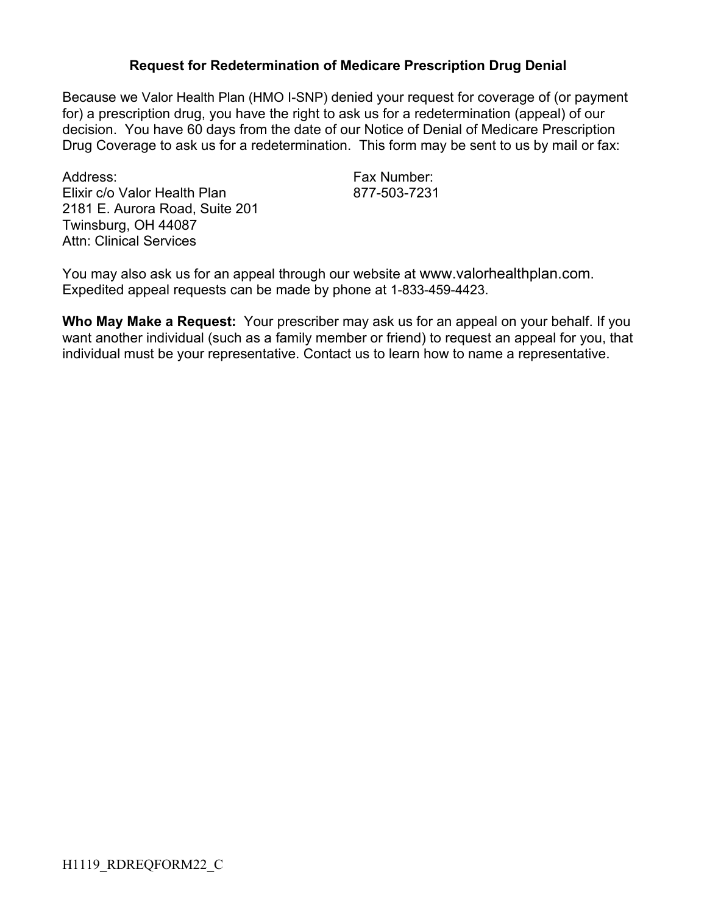## **Request for Redetermination of Medicare Prescription Drug Denial**

Because we Valor Health Plan (HMO I-SNP) denied your request for coverage of (or payment for) a prescription drug, you have the right to ask us for a redetermination (appeal) of our decision. You have 60 days from the date of our Notice of Denial of Medicare Prescription Drug Coverage to ask us for a redetermination. This form may be sent to us by mail or fax:

Address: Fax Number: Elixir c/o Valor Health Plan 877-503-7231 2181 E. Aurora Road, Suite 201 Twinsburg, OH 44087 Attn: Clinical Services

You may also ask us for an appeal through our website at www.valorhealthplan.com. Expedited appeal requests can be made by phone at 1-833-459-4423.

**Who May Make a Request:** Your prescriber may ask us for an appeal on your behalf. If you want another individual (such as a family member or friend) to request an appeal for you, that individual must be your representative. Contact us to learn how to name a representative.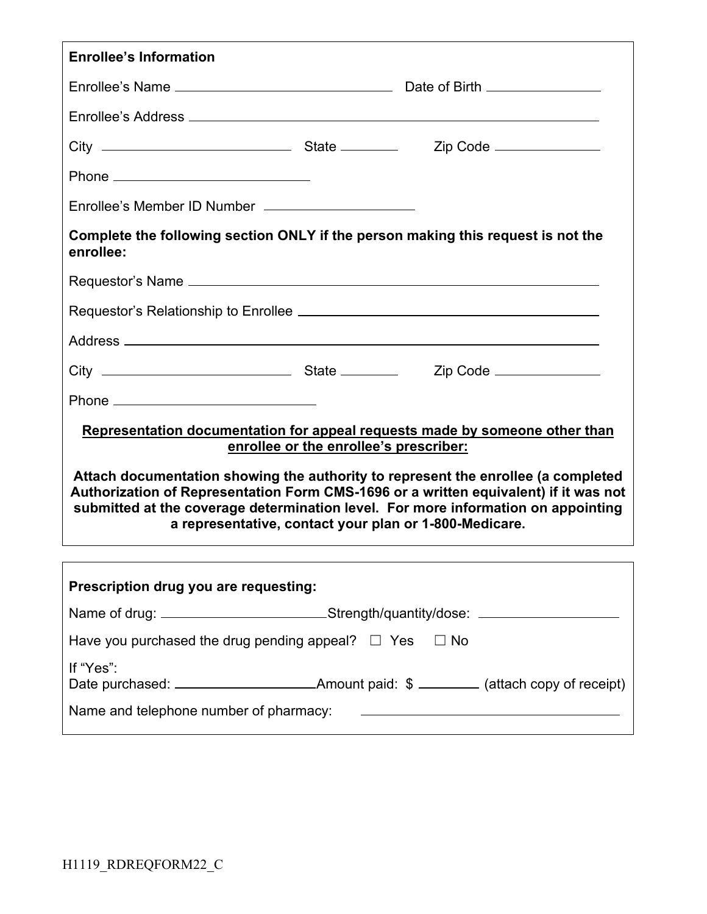| <b>Enrollee's Information</b>                                                                                                                                                                                                                                                                                            |  |                                                     |  |  |
|--------------------------------------------------------------------------------------------------------------------------------------------------------------------------------------------------------------------------------------------------------------------------------------------------------------------------|--|-----------------------------------------------------|--|--|
|                                                                                                                                                                                                                                                                                                                          |  |                                                     |  |  |
|                                                                                                                                                                                                                                                                                                                          |  |                                                     |  |  |
|                                                                                                                                                                                                                                                                                                                          |  |                                                     |  |  |
|                                                                                                                                                                                                                                                                                                                          |  |                                                     |  |  |
| Enrollee's Member ID Number _______________________                                                                                                                                                                                                                                                                      |  |                                                     |  |  |
| Complete the following section ONLY if the person making this request is not the<br>enrollee:                                                                                                                                                                                                                            |  |                                                     |  |  |
|                                                                                                                                                                                                                                                                                                                          |  |                                                     |  |  |
|                                                                                                                                                                                                                                                                                                                          |  |                                                     |  |  |
|                                                                                                                                                                                                                                                                                                                          |  |                                                     |  |  |
|                                                                                                                                                                                                                                                                                                                          |  |                                                     |  |  |
|                                                                                                                                                                                                                                                                                                                          |  |                                                     |  |  |
| Representation documentation for appeal requests made by someone other than<br>enrollee or the enrollee's prescriber:                                                                                                                                                                                                    |  |                                                     |  |  |
| Attach documentation showing the authority to represent the enrollee (a completed<br>Authorization of Representation Form CMS-1696 or a written equivalent) if it was not<br>submitted at the coverage determination level. For more information on appointing<br>a representative, contact your plan or 1-800-Medicare. |  |                                                     |  |  |
|                                                                                                                                                                                                                                                                                                                          |  |                                                     |  |  |
| Prescription drug you are requesting:                                                                                                                                                                                                                                                                                    |  |                                                     |  |  |
| Name of drug: __________________________Strength/quantity/dose: ________________                                                                                                                                                                                                                                         |  |                                                     |  |  |
| Have you purchased the drug pending appeal? $\Box$ Yes $\Box$ No                                                                                                                                                                                                                                                         |  |                                                     |  |  |
| If "Yes":                                                                                                                                                                                                                                                                                                                |  |                                                     |  |  |
| Name and telephone number of pharmacy:                                                                                                                                                                                                                                                                                   |  | <u> 1989 - Andrea Station, amerikansk politik (</u> |  |  |